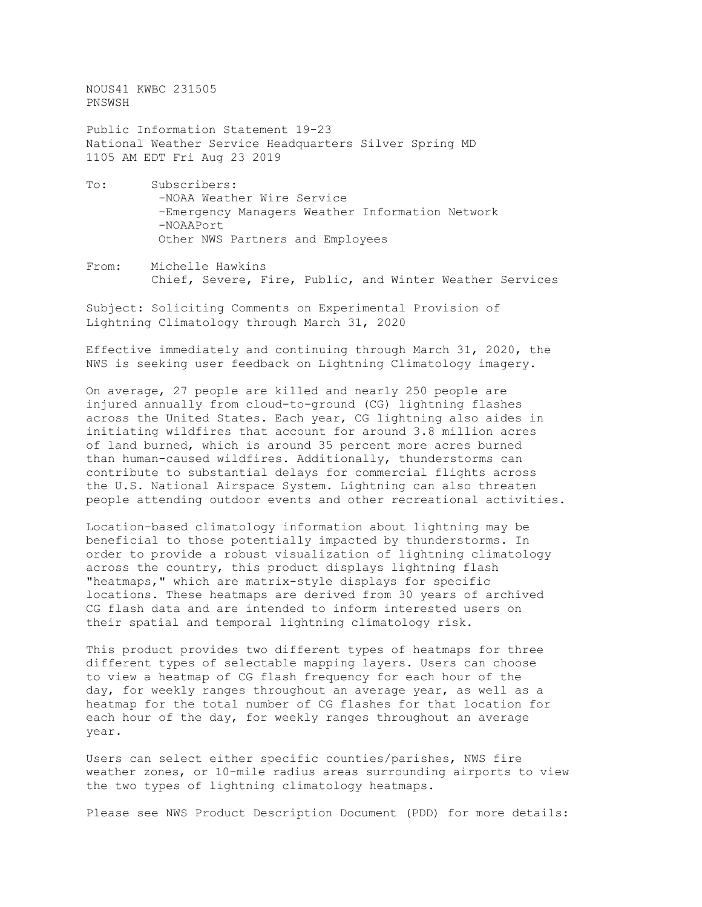NOUS41 KWBC 231505 PNSWSH Public Information Statement 19-23 National Weather Service Headquarters Silver Spring MD 1105 AM EDT Fri Aug 23 2019 To: Subscribers:

- -NOAA Weather Wire Service -Emergency Managers Weather Information Network -NOAAPort Other NWS Partners and Employees
- From: Michelle Hawkins Chief, Severe, Fire, Public, and Winter Weather Services

Subject: Soliciting Comments on Experimental Provision of Lightning Climatology through March 31, 2020

Effective immediately and continuing through March 31, 2020, the NWS is seeking user feedback on Lightning Climatology imagery.

On average, 27 people are killed and nearly 250 people are injured annually from cloud-to-ground (CG) lightning flashes across the United States. Each year, CG lightning also aides in initiating wildfires that account for around 3.8 million acres of land burned, which is around 35 percent more acres burned than human-caused wildfires. Additionally, thunderstorms can contribute to substantial delays for commercial flights across the U.S. National Airspace System. Lightning can also threaten people attending outdoor events and other recreational activities.

Location-based climatology information about lightning may be beneficial to those potentially impacted by thunderstorms. In order to provide a robust visualization of lightning climatology across the country, this product displays lightning flash "heatmaps," which are matrix-style displays for specific locations. These heatmaps are derived from 30 years of archived CG flash data and are intended to inform interested users on their spatial and temporal lightning climatology risk.

This product provides two different types of heatmaps for three different types of selectable mapping layers. Users can choose to view a heatmap of CG flash frequency for each hour of the day, for weekly ranges throughout an average year, as well as a heatmap for the total number of CG flashes for that location for each hour of the day, for weekly ranges throughout an average year.

Users can select either specific counties/parishes, NWS fire weather zones, or 10-mile radius areas surrounding airports to view the two types of lightning climatology heatmaps.

Please see NWS Product Description Document (PDD) for more details: